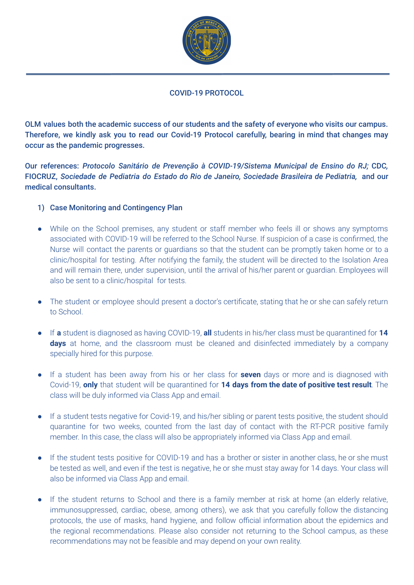

#### COVID-19 PROTOCOL

OLM values both the academic success of our students and the safety of everyone who visits our campus. Therefore, we kindly ask you to read our Covid-19 Protocol carefully, bearing in mind that changes may occur as the pandemic progresses.

Our references: *Protocolo Sanitário de Prevenção à COVID-19/Sistema Municipal de Ensino do RJ;* CDC*,* FIOCRUZ, *Sociedade de Pediatria do Estado do Rio de Janeiro, Sociedade Brasileira de Pediatria,* and our medical consultants.

## 1) Case Monitoring and Contingency Plan

- While on the School premises, any student or staff member who feels ill or shows any symptoms associated with COVID-19 will be referred to the School Nurse. If suspicion of a case is confirmed, the Nurse will contact the parents or guardians so that the student can be promptly taken home or to a clinic/hospital for testing. After notifying the family, the student will be directed to the Isolation Area and will remain there, under supervision, until the arrival of his/her parent or guardian. Employees will also be sent to a clinic/hospital for tests.
- The student or employee should present a doctor's certificate, stating that he or she can safely return to School.
- If **a** student is diagnosed as having COVID-19, **all** students in his/her class must be quarantined for **14 days** at home, and the classroom must be cleaned and disinfected immediately by a company specially hired for this purpose.
- If a student has been away from his or her class for **seven** days or more and is diagnosed with Covid-19, **only** that student will be quarantined for **14 days from the date of positive test result**. The class will be duly informed via Class App and email.
- If a student tests negative for Covid-19, and his/her sibling or parent tests positive, the student should quarantine for two weeks, counted from the last day of contact with the RT-PCR positive family member. In this case, the class will also be appropriately informed via Class App and email.
- If the student tests positive for COVID-19 and has a brother or sister in another class, he or she must be tested as well, and even if the test is negative, he or she must stay away for 14 days. Your class will also be informed via Class App and email.
- If the student returns to School and there is a family member at risk at home (an elderly relative, immunosuppressed, cardiac, obese, among others), we ask that you carefully follow the distancing protocols, the use of masks, hand hygiene, and follow official information about the epidemics and the regional recommendations. Please also consider not returning to the School campus, as these recommendations may not be feasible and may depend on your own reality.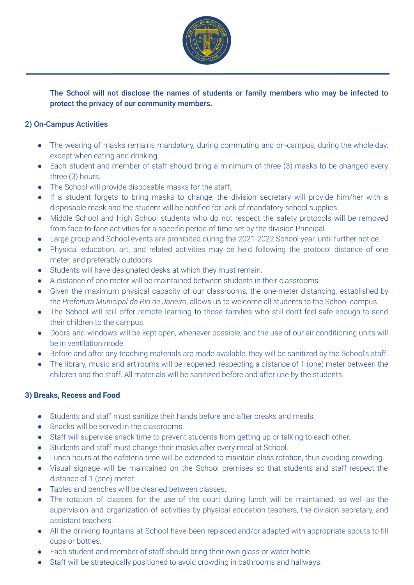

The School will not disclose the names of students or family members who may be infected to protect the privacy of our community members.

## 2) On-Campus Activities

- The wearing of masks remains mandatory, during commuting and on-campus, during the whole day, except when eating and drinking.
- Each student and member of staff should bring a minimum of three (3) masks to be changed every three (3) hours.
- The School will provide disposable masks for the staff.
- If a student forgets to bring masks to change, the division secretary will provide him/her with a disposable mask and the student will be notified for lack of mandatory school supplies.
- Middle School and High School students who do not respect the safety protocols will be removed from face-to-face activities for a specific period of time set by the division Principal.
- Large group and School events are prohibited during the 2021-2022 School year, until further notice.
- Physical education, art, and related activities may be held following the protocol distance of one meter, and preferably outdoors.
- Students will have designated desks at which they must remain.
- A distance of one meter will be maintained between students in their classrooms.
- Given the maximum physical capacity of our classrooms, the one-meter distancing, established by the *Prefeitura Municipal do Rio de Janeiro*, allows us to welcome all students to the School campus.
- The School will still offer remote learning to those families who still don't feel safe enough to send their children to the campus.
- Doors and windows will be kept open, whenever possible, and the use of our air conditioning units will be in ventilation mode.
- Before and after any teaching materials are made available, they will be sanitized by the School's staff.
- The library, music and art rooms will be reopened, respecting a distance of 1 (one) meter between the children and the staff. All materials will be sanitized before and after use by the students.

#### **3) Breaks, Recess and Food**

- Students and staff must sanitize their hands before and after breaks and meals.
- Snacks will be served in the classrooms.
- Staff will supervise snack time to prevent students from getting up or talking to each other.
- Students and staff must change their masks after every meal at School.
- Lunch hours at the cafeteria time will be extended to maintain class rotation, thus avoiding crowding.
- Visual signage will be maintained on the School premises so that students and staff respect the distance of 1 (one) meter.
- Tables and benches will be cleaned between classes.
- The rotation of classes for the use of the court during lunch will be maintained, as well as the supervision and organization of activities by physical education teachers, the division secretary, and assistant teachers.
- All the drinking fountains at School have been replaced and/or adapted with appropriate spouts to fill cups or bottles.
- Each student and member of staff should bring their own glass or water bottle.
- Staff will be strategically positioned to avoid crowding in bathrooms and hallways.